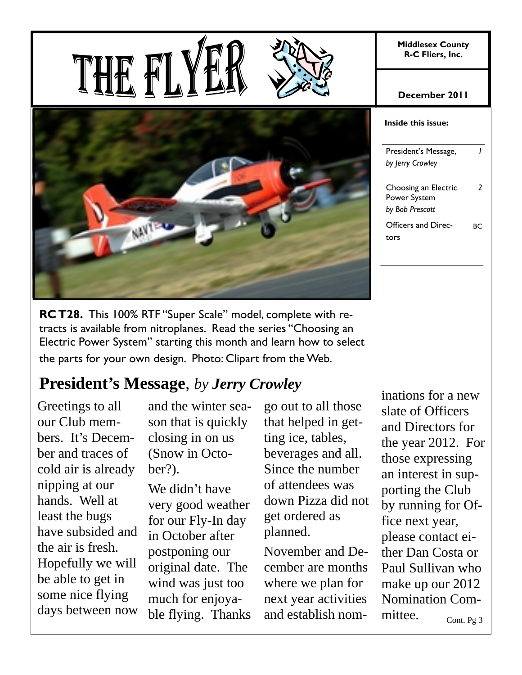**Middlesex County R-C Fliers, Inc.** 

**December 2011** 





**RC T28.** This 100% RTF "Super Scale" model, complete with retracts is available from nitroplanes. Read the series "Choosing an Electric Power System" starting this month and learn how to select the parts for your own design. Photo: Clipart from the Web.

# **President's Message**, *by Jerry Crowley*

Greetings to all our Club members. It's December and traces of cold air is already nipping at our hands. Well at least the bugs have subsided and the air is fresh. Hopefully we will be able to get in some nice flying days between now and the winter season that is quickly closing in on us (Snow in October?).

We didn't have very good weather for our Fly-In day in October after postponing our original date. The wind was just too much for enjoyable flying. Thanks

go out to all those that helped in getting ice, tables, beverages and all. Since the number of attendees was down Pizza did not get ordered as planned.

November and December are months where we plan for next year activities and establish nom-

inations for a new slate of Officers and Directors for the year 2012. For those expressing an interest in supporting the Club by running for Office next year,

please contact either Dan Costa or Paul Sullivan who make up our 2012 Nomination Com-

mittee.

**Inside this issue:**  President's Message, *by Jerry Crowley 1*  Choosing an Electric Power System *by Bob Prescott 2*  Officers and Directors BC

Cont. Pg 3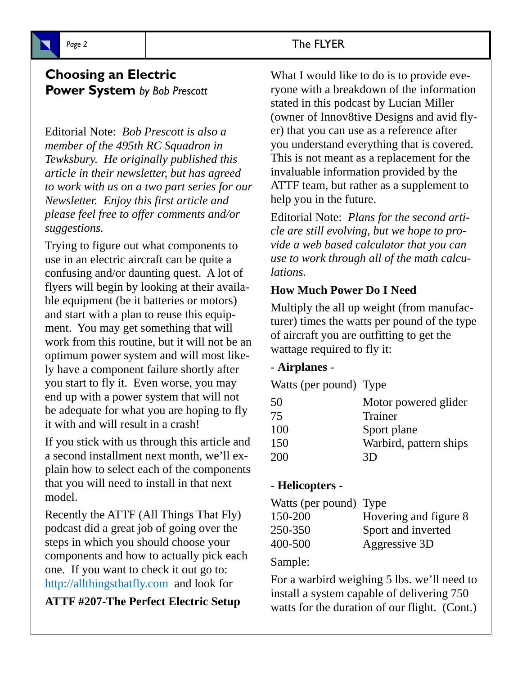# **Choosing an Electric**

## **Power System** *by Bob Prescott*

Editorial Note: *Bob Prescott is also a member of the 495th RC Squadron in Tewksbury. He originally published this article in their newsletter, but has agreed to work with us on a two part series for our Newsletter. Enjoy this first article and please feel free to offer comments and/or suggestions.*

Trying to figure out what components to use in an electric aircraft can be quite a confusing and/or daunting quest. A lot of flyers will begin by looking at their available equipment (be it batteries or motors) and start with a plan to reuse this equipment. You may get something that will work from this routine, but it will not be an optimum power system and will most likely have a component failure shortly after you start to fly it. Even worse, you may end up with a power system that will not be adequate for what you are hoping to fly it with and will result in a crash!

If you stick with us through this article and a second installment next month, we'll explain how to select each of the components that you will need to install in that next model.

Recently the ATTF (All Things That Fly) podcast did a great job of going over the steps in which you should choose your components and how to actually pick each one. If you want to check it out go to: http://allthingsthatfly.com and look for

**ATTF #207-The Perfect Electric Setup** 

### Page 2 and 2 and 2 and 2 and 2 and 2 and 2 and 2 and 2 and 2 and 2 and 2 and 2 and 2 and 2 and 2 and 2 and 2 and 2 and 2 and 2 and 2 and 2 and 2 and 2 and 2 and 2 and 2 and 2 and 2 and 2 and 2 and 2 and 2 and 2 and 2 and 2

What I would like to do is to provide everyone with a breakdown of the information stated in this podcast by Lucian Miller (owner of Innov8tive Designs and avid flyer) that you can use as a reference after you understand everything that is covered. This is not meant as a replacement for the invaluable information provided by the ATTF team, but rather as a supplement to help you in the future.

Editorial Note: *Plans for the second article are still evolving, but we hope to provide a web based calculator that you can use to work through all of the math calculations.*

### **How Much Power Do I Need**

Multiply the all up weight (from manufacturer) times the watts per pound of the type of aircraft you are outfitting to get the wattage required to fly it:

#### - **Airplanes** -

Watts (per pound) Type

| 50  | Motor powered glider   |
|-----|------------------------|
| 75  | Trainer                |
| 100 | Sport plane            |
| 150 | Warbird, pattern ships |
| 200 | 3D                     |

### - **Helicopters** -

| Watts (per pound) Type |                       |
|------------------------|-----------------------|
| 150-200                | Hovering and figure 8 |
| 250-350                | Sport and inverted    |
| 400-500                | Aggressive 3D         |

#### Sample:

For a warbird weighing 5 lbs. we'll need to install a system capable of delivering 750 watts for the duration of our flight. (Cont.)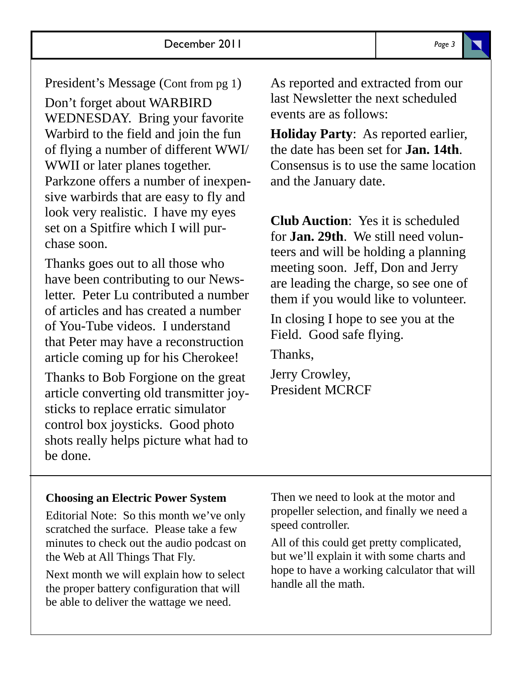President's Message (Cont from pg 1)

Don't forget about WARBIRD WEDNESDAY. Bring your favorite Warbird to the field and join the fun of flying a number of different WWI/ WWII or later planes together. Parkzone offers a number of inexpensive warbirds that are easy to fly and look very realistic. I have my eyes set on a Spitfire which I will purchase soon.

Thanks goes out to all those who have been contributing to our Newsletter. Peter Lu contributed a number of articles and has created a number of You-Tube videos. I understand that Peter may have a reconstruction article coming up for his Cherokee!

Thanks to Bob Forgione on the great article converting old transmitter joysticks to replace erratic simulator control box joysticks. Good photo shots really helps picture what had to be done.

As reported and extracted from our last Newsletter the next scheduled events are as follows:

**Holiday Party**: As reported earlier, the date has been set for **Jan. 14th**. Consensus is to use the same location and the January date.

**Club Auction**: Yes it is scheduled for **Jan. 29th**. We still need volunteers and will be holding a planning meeting soon. Jeff, Don and Jerry are leading the charge, so see one of them if you would like to volunteer.

In closing I hope to see you at the Field. Good safe flying.

Thanks,

Jerry Crowley, President MCRCF

#### **Choosing an Electric Power System**

Editorial Note: So this month we've only scratched the surface. Please take a few minutes to check out the audio podcast on the Web at All Things That Fly.

Next month we will explain how to select the proper battery configuration that will be able to deliver the wattage we need.

Then we need to look at the motor and propeller selection, and finally we need a speed controller.

All of this could get pretty complicated, but we'll explain it with some charts and hope to have a working calculator that will handle all the math.